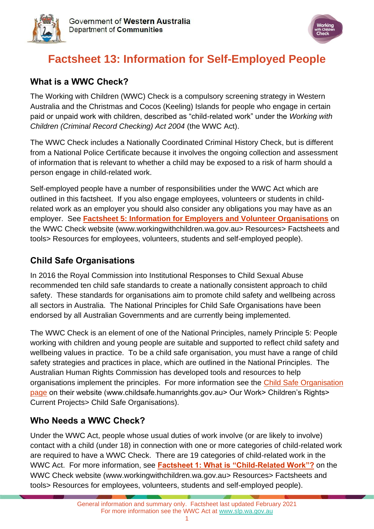



# **Factsheet 13: Information for Self-Employed People**

#### **What is a WWC Check?**

The Working with Children (WWC) Check is a compulsory screening strategy in Western Australia and the Christmas and Cocos (Keeling) Islands for people who engage in certain paid or unpaid work with children, described as "child-related work" under the *Working with Children (Criminal Record Checking) Act 2004* (the WWC Act).

The WWC Check includes a Nationally Coordinated Criminal History Check, but is different from a National Police Certificate because it involves the ongoing collection and assessment of information that is relevant to whether a child may be exposed to a risk of harm should a person engage in child-related work.

Self-employed people have a number of responsibilities under the WWC Act which are outlined in this factsheet. If you also engage employees, volunteers or students in childrelated work as an employer you should also consider any obligations you may have as an employer. See **[Factsheet 5: Information for Employers and Volunteer Organisations](https://workingwithchildren.wa.gov.au/docs/default-source/default-document-library/factsheet-5-information-for-employers-and-volunteer-organisations-2015.pdf)** on the WWC Check website [\(www.workingwithchildren.wa.gov.au>](http://www.workingwithchildren.wa.gov.au/) Resources> Factsheets and tools> Resources for employees, volunteers, students and self-employed people).

### **Child Safe Organisations**

In 2016 the Royal Commission into Institutional Responses to Child Sexual Abuse recommended ten child safe standards to create a nationally consistent approach to child safety. These standards for organisations aim to promote child safety and wellbeing across all sectors in Australia. The National Principles for Child Safe Organisations have been endorsed by all Australian Governments and are currently being implemented.

The WWC Check is an element of one of the National Principles, namely Principle 5: People working with children and young people are suitable and supported to reflect child safety and wellbeing values in practice. To be a child safe organisation, you must have a range of child safety strategies and practices in place, which are outlined in the National Principles. The Australian Human Rights Commission has developed tools and resources to help organisations implement the principles. For more information see the [Child Safe Organisation](https://humanrights.gov.au/our-work/childrens-rights/projects/child-safe-organisations)  [page](https://humanrights.gov.au/our-work/childrens-rights/projects/child-safe-organisations) on their website (www.childsafe.humanrights.gov.au> Our Work> Children's Rights> Current Projects> Child Safe Organisations).

#### **Who Needs a WWC Check?**

Under the WWC Act, people whose usual duties of work involve (or are likely to involve) contact with a child (under 18) in connection with one or more categories of child-related work are required to have a WWC Check. There are 19 categories of child-related work in the WWC Act. For more information, see **[Factsheet 1: What is "Child-Related Work"?](https://workingwithchildren.wa.gov.au/docs/default-source/default-document-library/factsheet-1-what-is-child-related-work-2015.pdf)** on the WWC Check website [\(www.workingwithchildren.wa.gov.au>](http://www.workingwithchildren.wa.gov.au/) Resources> Factsheets and tools> Resources for employees, volunteers, students and self-employed people).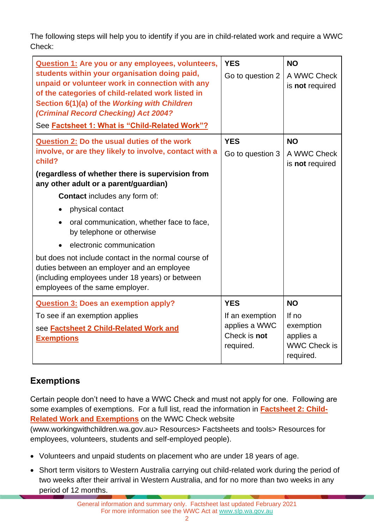The following steps will help you to identify if you are in child-related work and require a WWC Check:

| Question 1: Are you or any employees, volunteers,<br>students within your organisation doing paid,<br>unpaid or volunteer work in connection with any<br>of the categories of child-related work listed in<br>Section 6(1)(a) of the Working with Children<br>(Criminal Record Checking) Act 2004?<br>See Factsheet 1: What is "Child-Related Work"?                                                                                                                                                                                                                                    | <b>YES</b><br>Go to question 2                                              | <b>NO</b><br>A WWC Check<br>is not required                                      |
|-----------------------------------------------------------------------------------------------------------------------------------------------------------------------------------------------------------------------------------------------------------------------------------------------------------------------------------------------------------------------------------------------------------------------------------------------------------------------------------------------------------------------------------------------------------------------------------------|-----------------------------------------------------------------------------|----------------------------------------------------------------------------------|
| Question 2: Do the usual duties of the work<br>involve, or are they likely to involve, contact with a<br>child?<br>(regardless of whether there is supervision from<br>any other adult or a parent/guardian)<br><b>Contact</b> includes any form of:<br>physical contact<br>$\bullet$<br>oral communication, whether face to face,<br>by telephone or otherwise<br>electronic communication<br>but does not include contact in the normal course of<br>duties between an employer and an employee<br>(including employees under 18 years) or between<br>employees of the same employer. | <b>YES</b><br>Go to question 3                                              | <b>NO</b><br>A WWC Check<br>is not required                                      |
| <b>Question 3: Does an exemption apply?</b><br>To see if an exemption applies<br>see <b>Factsheet 2 Child-Related Work and</b><br><b>Exemptions</b>                                                                                                                                                                                                                                                                                                                                                                                                                                     | <b>YES</b><br>If an exemption<br>applies a WWC<br>Check is not<br>required. | <b>NO</b><br>If no<br>exemption<br>applies a<br><b>WWC Check is</b><br>required. |

## **Exemptions**

Certain people don't need to have a WWC Check and must not apply for one. Following are some examples of exemptions. For a full list, read the information in **[Factsheet 2: Child-](https://workingwithchildren.wa.gov.au/docs/default-source/default-document-library/factsheet-2-child-related-work-and-exemptions-2015.pdf)[Related Work and Exemptions](https://workingwithchildren.wa.gov.au/docs/default-source/default-document-library/factsheet-2-child-related-work-and-exemptions-2015.pdf)** on the WWC Check website

[\(www.workingwithchildren.wa.gov.au>](http://www.workingwithchildren.wa.gov.au/) Resources> Factsheets and tools> Resources for employees, volunteers, students and self-employed people).

- Volunteers and unpaid students on placement who are under 18 years of age.
- Short term visitors to Western Australia carrying out child-related work during the period of two weeks after their arrival in Western Australia, and for no more than two weeks in any period of 12 months.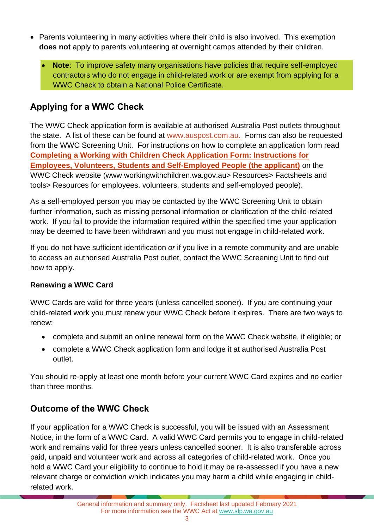- Parents volunteering in many activities where their child is also involved. This exemption **does not** apply to parents volunteering at overnight camps attended by their children.
	- **Note**: To improve safety many organisations have policies that require self-employed contractors who do not engage in child-related work or are exempt from applying for a WWC Check to obtain a National Police Certificate.

# **Applying for a WWC Check**

The WWC Check application form is available at authorised Australia Post outlets throughout the state. A list of these can be found at [www.auspost.com.au.](https://auspost.com.au/locate/?services=86) Forms can also be requested from the WWC Screening Unit. For instructions on how to complete an application form read **[Completing a Working with Children Check Application Form: Instructions for](https://workingwithchildren.wa.gov.au/docs/default-source/default-document-library/completing-the-working-with-children-check-application-form-instructions-for-applicants.pdf)  [Employees, Volunteers, Students and Self-Employed People \(the applicant\)](https://workingwithchildren.wa.gov.au/docs/default-source/default-document-library/completing-the-working-with-children-check-application-form-instructions-for-applicants.pdf)** on the WWC Check website [\(www.workingwithchildren.wa.gov.au>](http://www.workingwithchildren.wa.gov.au/) Resources> Factsheets and tools> Resources for employees, volunteers, students and self-employed people).

As a self-employed person you may be contacted by the WWC Screening Unit to obtain further information, such as missing personal information or clarification of the child-related work. If you fail to provide the information required within the specified time your application may be deemed to have been withdrawn and you must not engage in child-related work.

If you do not have sufficient identification *or* if you live in a remote community and are unable to access an authorised Australia Post outlet, contact the WWC Screening Unit to find out how to apply.

#### **Renewing a WWC Card**

WWC Cards are valid for three years (unless cancelled sooner). If you are continuing your child-related work you must renew your WWC Check before it expires. There are two ways to renew:

- complete and submit an online renewal form on the WWC Check website, if eligible; or
- complete a WWC Check application form and lodge it at authorised Australia Post outlet.

You should re-apply at least one month before your current WWC Card expires and no earlier than three months.

## **Outcome of the WWC Check**

If your application for a WWC Check is successful, you will be issued with an Assessment Notice, in the form of a WWC Card. A valid WWC Card permits you to engage in child-related work and remains valid for three years unless cancelled sooner. It is also transferable across paid, unpaid and volunteer work and across all categories of child-related work. Once you hold a WWC Card your eligibility to continue to hold it may be re-assessed if you have a new relevant charge or conviction which indicates you may harm a child while engaging in childrelated work.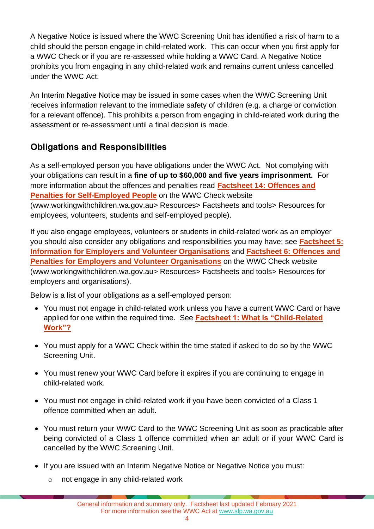A Negative Notice is issued where the WWC Screening Unit has identified a risk of harm to a child should the person engage in child-related work. This can occur when you first apply for a WWC Check or if you are re-assessed while holding a WWC Card. A Negative Notice prohibits you from engaging in any child-related work and remains current unless cancelled under the WWC Act.

An Interim Negative Notice may be issued in some cases when the WWC Screening Unit receives information relevant to the immediate safety of children (e.g. a charge or conviction for a relevant offence). This prohibits a person from engaging in child-related work during the assessment or re-assessment until a final decision is made.

#### **Obligations and Responsibilities**

As a self-employed person you have obligations under the WWC Act. Not complying with your obligations can result in a **fine of up to \$60,000 and five years imprisonment.** For more information about the offences and penalties read **[Factsheet 14: Offences and](https://workingwithchildren.wa.gov.au/docs/default-source/default-document-library/factsheet-14-offences-and-penalties-for-self-employed-people-2015.pdf)  [Penalties for Self-Employed People](https://workingwithchildren.wa.gov.au/docs/default-source/default-document-library/factsheet-14-offences-and-penalties-for-self-employed-people-2015.pdf)** on the WWC Check website [\(www.workingwithchildren.wa.gov.au>](http://www.workingwithchildren.wa.gov.au/) Resources> Factsheets and tools> Resources for employees, volunteers, students and self-employed people).

If you also engage employees, volunteers or students in child-related work as an employer you should also consider any obligations and responsibilities you may have; see **[Factsheet 5:](https://workingwithchildren.wa.gov.au/docs/default-source/default-document-library/factsheet-5-information-for-employers-and-volunteer-organisations-2015.pdf)  [Information for Employers and Volunteer Organisations](https://workingwithchildren.wa.gov.au/docs/default-source/default-document-library/factsheet-5-information-for-employers-and-volunteer-organisations-2015.pdf)** and **[Factsheet 6: Offences and](https://workingwithchildren.wa.gov.au/docs/default-source/default-document-library/factsheet-6-offences-and-penalties-for-employers-and-volunteer-organisations-2015.pdf)  [Penalties for Employers and Volunteer Organisations](https://workingwithchildren.wa.gov.au/docs/default-source/default-document-library/factsheet-6-offences-and-penalties-for-employers-and-volunteer-organisations-2015.pdf)** on the WWC Check website [\(www.workingwithchildren.wa.gov.au>](http://www.workingwithchildren.wa.gov.au/) Resources> Factsheets and tools> Resources for employers and organisations).

Below is a list of your obligations as a self-employed person:

- You must not engage in child-related work unless you have a current WWC Card or have applied for one within the required time. See **[Factsheet 1: What is "Child-Related](https://workingwithchildren.wa.gov.au/docs/default-source/default-document-library/factsheet-1-what-is-child-related-work-2015.pdf)  [Work"?](https://workingwithchildren.wa.gov.au/docs/default-source/default-document-library/factsheet-1-what-is-child-related-work-2015.pdf)**
- You must apply for a WWC Check within the time stated if asked to do so by the WWC Screening Unit.
- You must renew your WWC Card before it expires if you are continuing to engage in child-related work.
- You must not engage in child-related work if you have been convicted of a Class 1 offence committed when an adult.
- You must return your WWC Card to the WWC Screening Unit as soon as practicable after being convicted of a Class 1 offence committed when an adult or if your WWC Card is cancelled by the WWC Screening Unit.
- If you are issued with an Interim Negative Notice or Negative Notice you must:
	- o not engage in any child-related work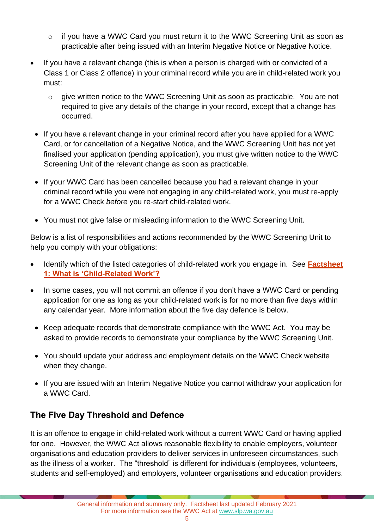- o if you have a WWC Card you must return it to the WWC Screening Unit as soon as practicable after being issued with an Interim Negative Notice or Negative Notice.
- If you have a relevant change (this is when a person is charged with or convicted of a Class 1 or Class 2 offence) in your criminal record while you are in child-related work you must:
	- $\circ$  give written notice to the WWC Screening Unit as soon as practicable. You are not required to give any details of the change in your record, except that a change has occurred.
	- If you have a relevant change in your criminal record after you have applied for a WWC Card, or for cancellation of a Negative Notice, and the WWC Screening Unit has not yet finalised your application (pending application), you must give written notice to the WWC Screening Unit of the relevant change as soon as practicable.
- If your WWC Card has been cancelled because you had a relevant change in your criminal record while you were not engaging in any child-related work, you must re-apply for a WWC Check *before* you re-start child-related work.
- You must not give false or misleading information to the WWC Screening Unit.

Below is a list of responsibilities and actions recommended by the WWC Screening Unit to help you comply with your obligations:

- Identify which of the listed categories of child-related work you engage in. See **[Factsheet](https://workingwithchildren.wa.gov.au/docs/default-source/default-document-library/factsheet-1-what-is-child-related-work-2015.pdf)  [1: What is 'Child-Related Work'?](https://workingwithchildren.wa.gov.au/docs/default-source/default-document-library/factsheet-1-what-is-child-related-work-2015.pdf)**
- In some cases, you will not commit an offence if you don't have a WWC Card or pending application for one as long as your child-related work is for no more than five days within any calendar year. More information about the five day defence is below.
- Keep adequate records that demonstrate compliance with the WWC Act. You may be asked to provide records to demonstrate your compliance by the WWC Screening Unit.
- You should update your address and employment details on the WWC Check website when they change.
- If you are issued with an Interim Negative Notice you cannot withdraw your application for a WWC Card.

## **The Five Day Threshold and Defence**

It is an offence to engage in child-related work without a current WWC Card or having applied for one. However, the WWC Act allows reasonable flexibility to enable employers, volunteer organisations and education providers to deliver services in unforeseen circumstances, such as the illness of a worker. The "threshold" is different for individuals (employees, volunteers, students and self-employed) and employers, volunteer organisations and education providers.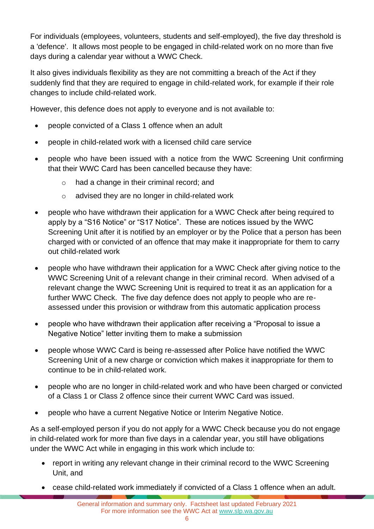For individuals (employees, volunteers, students and self-employed), the five day threshold is a 'defence'. It allows most people to be engaged in child-related work on no more than five days during a calendar year without a WWC Check.

It also gives individuals flexibility as they are not committing a breach of the Act if they suddenly find that they are required to engage in child-related work, for example if their role changes to include child-related work.

However, this defence does not apply to everyone and is not available to:

- people convicted of a Class 1 offence when an adult
- people in child-related work with a licensed child care service
- people who have been issued with a notice from the WWC Screening Unit confirming that their WWC Card has been cancelled because they have:
	- o had a change in their criminal record; and
	- o advised they are no longer in child-related work
- people who have withdrawn their application for a WWC Check after being required to apply by a "S16 Notice" or "S17 Notice". These are notices issued by the WWC Screening Unit after it is notified by an employer or by the Police that a person has been charged with or convicted of an offence that may make it inappropriate for them to carry out child-related work
- people who have withdrawn their application for a WWC Check after giving notice to the WWC Screening Unit of a relevant change in their criminal record. When advised of a relevant change the WWC Screening Unit is required to treat it as an application for a further WWC Check. The five day defence does not apply to people who are reassessed under this provision or withdraw from this automatic application process
- people who have withdrawn their application after receiving a "Proposal to issue a Negative Notice" letter inviting them to make a submission
- people whose WWC Card is being re-assessed after Police have notified the WWC Screening Unit of a new charge or conviction which makes it inappropriate for them to continue to be in child-related work.
- people who are no longer in child-related work and who have been charged or convicted of a Class 1 or Class 2 offence since their current WWC Card was issued.
- people who have a current Negative Notice or Interim Negative Notice.

As a self-employed person if you do not apply for a WWC Check because you do not engage in child-related work for more than five days in a calendar year, you still have obligations under the WWC Act while in engaging in this work which include to:

- report in writing any relevant change in their criminal record to the WWC Screening Unit, and
- cease child-related work immediately if convicted of a Class 1 offence when an adult.